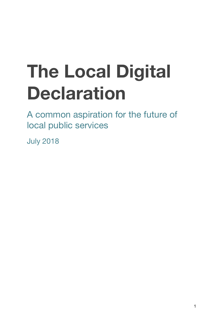# **The Local Digital Declaration**

A common aspiration for the future of local public services

July 2018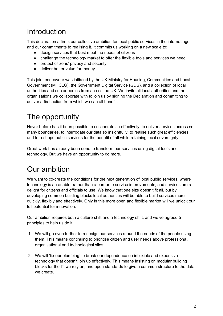### **Introduction**

This declaration affirms our collective ambition for local public services in the internet age, and our commitments to realising it. It commits us working on a new scale to:

- design services that best meet the needs of citizens
- challenge the technology market to offer the flexible tools and services we need
- protect citizens' privacy and security
- deliver better value for money

This joint endeavour was initiated by the UK Ministry for Housing, Communities and Local Government (MHCLG), the Government Digital Service (GDS), and a collection of local authorities and sector bodies from across the UK. We invite all local authorities and the organisations we collaborate with to join us by signing the Declaration and committing to deliver a first action from which we can all benefit.

## The opportunity

Never before has it been possible to collaborate so effectively, to deliver services across so many boundaries, to interrogate our data so insightfully, to realise such great efficiencies, and to reshape public services for the benefit of all while retaining local sovereignty.

Great work has already been done to transform our services using digital tools and technology. But we have an opportunity to do more.

## Our ambition

We want to co-create the conditions for the next generation of local public services, where technology is an enabler rather than a barrier to service improvements, and services are a delight for citizens and officials to use. We know that one size doesn't fit all, but by developing common building blocks local authorities will be able to build services more quickly, flexibly and effectively. Only in this more open and flexible market will we unlock our full potential for innovation.

Our ambition requires both a culture shift and a technology shift, and we've agreed 5 principles to help us do it:

- 1. We will go even further to redesign our services around the needs of the people using them. This means continuing to prioritise citizen and user needs above professional, organisational and technological silos.
- 2. We will 'fix our plumbing' to break our dependence on inflexible and expensive technology that doesn't join up effectively. This means insisting on modular building blocks for the IT we rely on, and open standards to give a common structure to the data we create.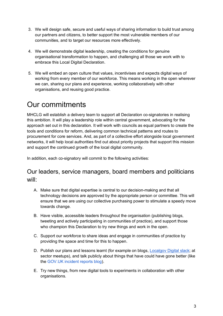- 3. We will design safe, secure and useful ways of sharing information to build trust among our partners and citizens, to better support the most vulnerable members of our communities, and to target our resources more effectively.
- 4. We will demonstrate digital leadership, creating the conditions for genuine organisational transformation to happen, and challenging all those we work with to embrace this Local Digital Declaration.
- 5. We will embed an open culture that values, incentivises and expects digital ways of working from every member of our workforce. This means working in the open wherever we can, sharing our plans and experience, working collaboratively with other organisations, and reusing good practice.

### Our commitments

MHCLG will establish a delivery team to support all Declaration co-signatories in realising this ambition. It will play a leadership role within central government, advocating for the approach set out in this declaration. It will work with councils as equal partners to create the tools and conditions for reform, delivering common technical patterns and routes to procurement for core services. And, as part of a collective effort alongside local government networks, it will help local authorities find out about priority projects that support this mission and support the continued growth of the local digital community.

In addition, each co-signatory will commit to the following activities:

#### Our leaders, service managers, board members and politicians will:

- A. Make sure that digital expertise is central to our decision-making and that all technology decisions are approved by the appropriate person or committee. This will ensure that we are using our collective purchasing power to stimulate a speedy move towards change.
- B. Have visible, accessible leaders throughout the organisation (publishing blogs, tweeting and actively participating in communities of practice), and support those who champion this Declaration to try new things and work in the open.
- C. Support our workforce to share ideas and engage in communities of practice by providing the space and time for this to happen.
- D. Publish our plans and lessons learnt (for example on blogs, Localgov Digital slack; at sector meetups), and talk publicly about things that have could have gone better (like the GOV.UK incident reports blog).
- E. Try new things, from new digital tools to experiments in collaboration with other organisations.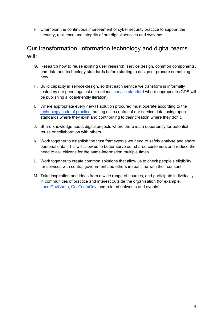F. Champion the continuous improvement of cyber security practice to support the security, resilience and integrity of our digital services and systems.

#### Our transformation, information technology and digital teams will:

- G. Research how to reuse existing user research, service design, common components, and data and technology standards before starting to design or procure something new.
- H. Build capacity in service-design, so that each service we transform is informally tested by our peers against our national service standard where appropriate (GDS will be publishing a local-friendly iteration).
- I. Where appropriate every new IT solution procured must operate according to the technology code of practice, putting us in control of our service data, using open standards where they exist and contributing to their creation where they don't.
- J. Share knowledge about digital projects where there is an opportunity for potential reuse or collaboration with others.
- K. Work together to establish the trust frameworks we need to safely analyse and share personal data. This will allow us to better serve our shared customers and reduce the need to ask citizens for the same information multiple times.
- L. Work together to create common solutions that allow us to check people's eligibility for services with central government and others in real time with their consent.
- M. Take inspiration and ideas from a wide range of sources, and participate individually in communities of practice and interest outside the organisation (for example, LocalGovCamp, OneTeamGov, and related networks and events).